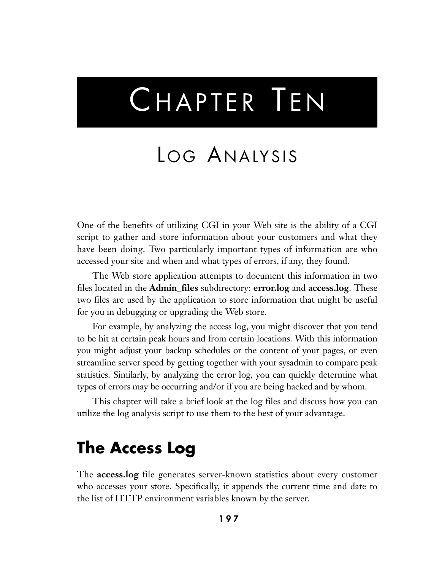# CHAPTER TEN

# LOG ANALYSIS

One of the benefits of utilizing CGI in your Web site is the ability of a CGI script to gather and store information about your customers and what they have been doing. Two particularly important types of information are who accessed your site and when and what types of errors, if any, they found.

The Web store application attempts to document this information in two files located in the **Admin\_files** subdirectory: **error.log** and **access.log**. These two files are used by the application to store information that might be useful for you in debugging or upgrading the Web store.

For example, by analyzing the access log, you might discover that you tend to be hit at certain peak hours and from certain locations. With this information you might adjust your backup schedules or the content of your pages, or even streamline server speed by getting together with your sysadmin to compare peak statistics. Similarly, by analyzing the error log, you can quickly determine what types of errors may be occurring and/or if you are being hacked and by whom.

This chapter will take a brief look at the log files and discuss how you can utilize the log analysis script to use them to the best of your advantage.

### **The Access Log**

The **access.log** file generates server-known statistics about every customer who accesses your store. Specifically, it appends the current time and date to the list of HTTP environment variables known by the server.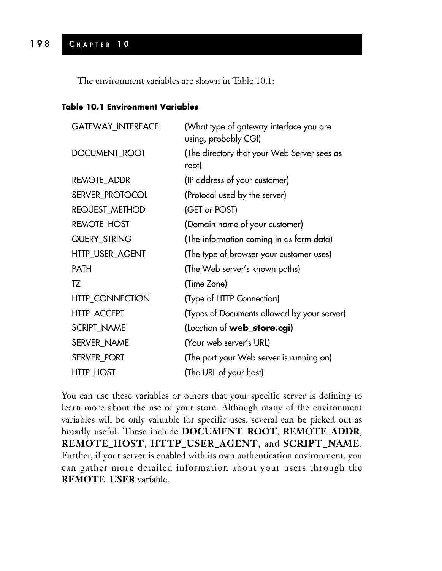The environment variables are shown in Table 10.1:

#### **Table 10.1 Environment Variables**

| <b>GATEWAY_INTERFACE</b> | (What type of gateway interface you are<br>using, probably CGI) |  |
|--------------------------|-----------------------------------------------------------------|--|
| DOCUMENT_ROOT            | (The directory that your Web Server sees as<br>root)            |  |
| <b>REMOTE_ADDR</b>       | (IP address of your customer)                                   |  |
| SERVER_PROTOCOL          | (Protocol used by the server)                                   |  |
| REQUEST_METHOD           | (GET or POST)                                                   |  |
| <b>REMOTE_HOST</b>       | (Domain name of your customer)                                  |  |
| QUERY_STRING             | (The information coming in as form data)                        |  |
| HTTP_USER_AGENT          | (The type of browser your customer uses)                        |  |
| <b>PATH</b>              | (The Web server's known paths)                                  |  |
| TZ                       | (Time Zone)                                                     |  |
| <b>HTTP_CONNECTION</b>   | (Type of HTTP Connection)                                       |  |
| <b>HTTP_ACCEPT</b>       | (Types of Documents allowed by your server)                     |  |
| <b>SCRIPT_NAME</b>       | (Location of web_store.cgi)                                     |  |
| SERVER_NAME              | (Your web server's URL)                                         |  |
| SERVER PORT              | (The port your Web server is running on)                        |  |
| <b>HTTP HOST</b>         | (The URL of your host)                                          |  |

You can use these variables or others that your specific server is defining to learn more about the use of your store. Although many of the environment variables will be only valuable for specific uses, several can be picked out as broadly useful. These include **DOCUMENT\_ROOT**, **REMOTE\_ADDR**, **REMOTE\_HOST**, **HTTP\_USER\_AGENT**, and **SCRIPT\_NAME**. Further, if your server is enabled with its own authentication environment, you can gather more detailed information about your users through the **REMOTE\_USER** variable.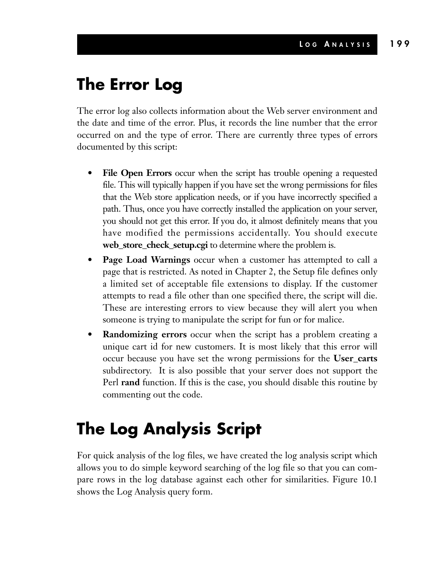## **The Error Log**

The error log also collects information about the Web server environment and the date and time of the error. Plus, it records the line number that the error occurred on and the type of error. There are currently three types of errors documented by this script:

- **File Open Errors** occur when the script has trouble opening a requested file. This will typically happen if you have set the wrong permissions for files that the Web store application needs, or if you have incorrectly specified a path. Thus, once you have correctly installed the application on your server, you should not get this error. If you do, it almost definitely means that you have modified the permissions accidentally. You should execute **web\_store\_check\_setup.cgi** to determine where the problem is.
- **Page Load Warnings** occur when a customer has attempted to call a page that is restricted. As noted in Chapter 2, the Setup file defines only a limited set of acceptable file extensions to display. If the customer attempts to read a file other than one specified there, the script will die. These are interesting errors to view because they will alert you when someone is trying to manipulate the script for fun or for malice.
- **Randomizing errors** occur when the script has a problem creating a unique cart id for new customers. It is most likely that this error will occur because you have set the wrong permissions for the **User\_carts** subdirectory. It is also possible that your server does not support the Perl **rand** function. If this is the case, you should disable this routine by commenting out the code.

# **The Log Analysis Script**

For quick analysis of the log files, we have created the log analysis script which allows you to do simple keyword searching of the log file so that you can compare rows in the log database against each other for similarities. Figure 10.1 shows the Log Analysis query form.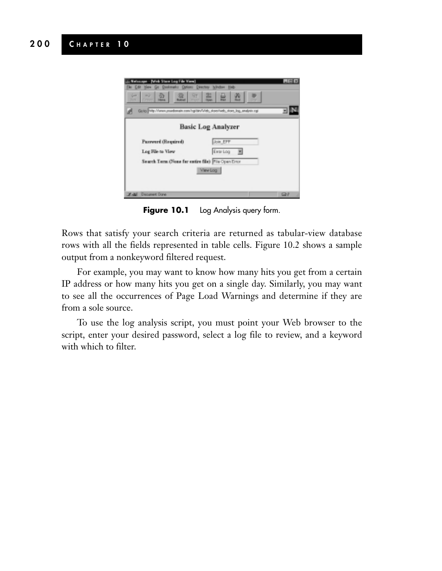

**Figure 10.1** Log Analysis query form.

Rows that satisfy your search criteria are returned as tabular-view database rows with all the fields represented in table cells. Figure 10.2 shows a sample output from a nonkeyword filtered request.

For example, you may want to know how many hits you get from a certain IP address or how many hits you get on a single day. Similarly, you may want to see all the occurrences of Page Load Warnings and determine if they are from a sole source.

To use the log analysis script, you must point your Web browser to the script, enter your desired password, select a log file to review, and a keyword with which to filter.